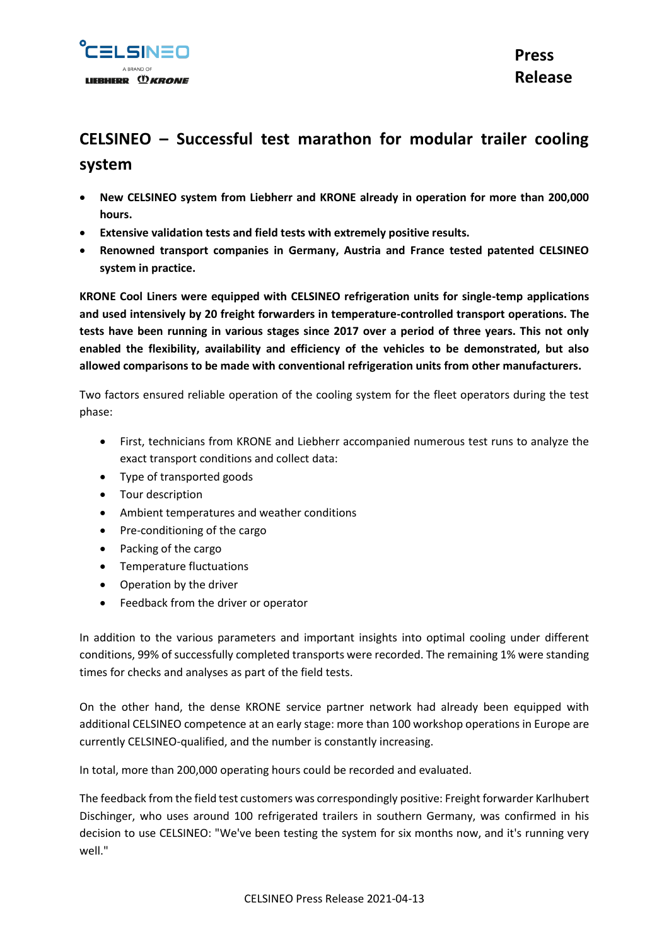

# **CELSINEO – Successful test marathon for modular trailer cooling system**

- **New CELSINEO system from Liebherr and KRONE already in operation for more than 200,000 hours.**
- **Extensive validation tests and field tests with extremely positive results.**
- **Renowned transport companies in Germany, Austria and France tested patented CELSINEO system in practice.**

**KRONE Cool Liners were equipped with CELSINEO refrigeration units for single-temp applications and used intensively by 20 freight forwarders in temperature-controlled transport operations. The tests have been running in various stages since 2017 over a period of three years. This not only enabled the flexibility, availability and efficiency of the vehicles to be demonstrated, but also allowed comparisons to be made with conventional refrigeration units from other manufacturers.** 

Two factors ensured reliable operation of the cooling system for the fleet operators during the test phase:

- First, technicians from KRONE and Liebherr accompanied numerous test runs to analyze the exact transport conditions and collect data:
- Type of transported goods
- Tour description
- Ambient temperatures and weather conditions
- Pre-conditioning of the cargo
- Packing of the cargo
- Temperature fluctuations
- Operation by the driver
- **•** Feedback from the driver or operator

In addition to the various parameters and important insights into optimal cooling under different conditions, 99% of successfully completed transports were recorded. The remaining 1% were standing times for checks and analyses as part of the field tests.

On the other hand, the dense KRONE service partner network had already been equipped with additional CELSINEO competence at an early stage: more than 100 workshop operations in Europe are currently CELSINEO-qualified, and the number is constantly increasing.

In total, more than 200,000 operating hours could be recorded and evaluated.

The feedback from the field test customers was correspondingly positive: Freight forwarder Karlhubert Dischinger, who uses around 100 refrigerated trailers in southern Germany, was confirmed in his decision to use CELSINEO: "We've been testing the system for six months now, and it's running very well."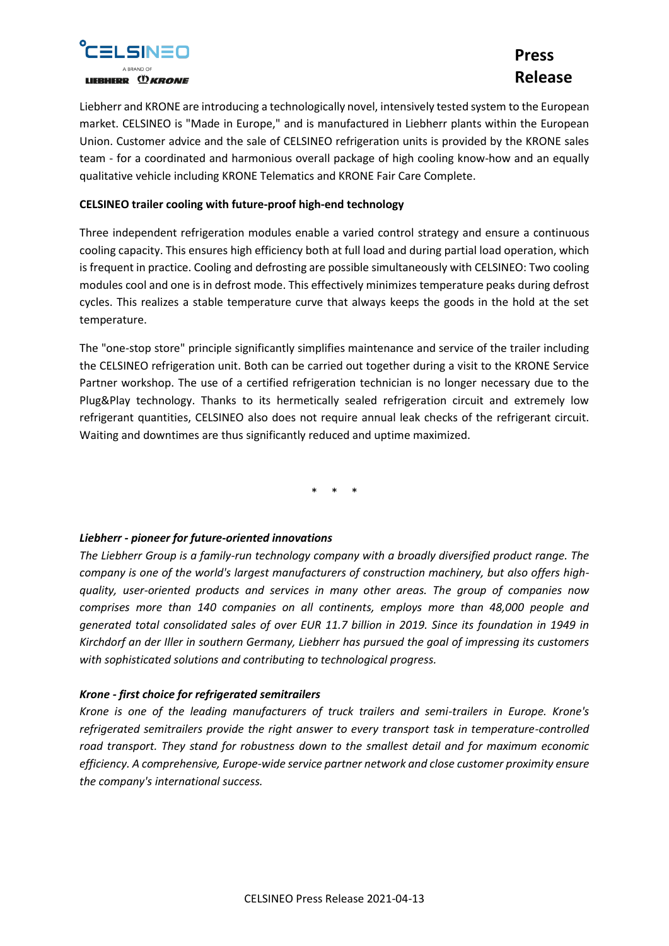

## **Press Release**

Liebherr and KRONE are introducing a technologically novel, intensively tested system to the European market. CELSINEO is "Made in Europe," and is manufactured in Liebherr plants within the European Union. Customer advice and the sale of CELSINEO refrigeration units is provided by the KRONE sales team - for a coordinated and harmonious overall package of high cooling know-how and an equally qualitative vehicle including KRONE Telematics and KRONE Fair Care Complete.

#### **CELSINEO trailer cooling with future-proof high-end technology**

Three independent refrigeration modules enable a varied control strategy and ensure a continuous cooling capacity. This ensures high efficiency both at full load and during partial load operation, which is frequent in practice. Cooling and defrosting are possible simultaneously with CELSINEO: Two cooling modules cool and one is in defrost mode. This effectively minimizes temperature peaks during defrost cycles. This realizes a stable temperature curve that always keeps the goods in the hold at the set temperature.

The "one-stop store" principle significantly simplifies maintenance and service of the trailer including the CELSINEO refrigeration unit. Both can be carried out together during a visit to the KRONE Service Partner workshop. The use of a certified refrigeration technician is no longer necessary due to the Plug&Play technology. Thanks to its hermetically sealed refrigeration circuit and extremely low refrigerant quantities, CELSINEO also does not require annual leak checks of the refrigerant circuit. Waiting and downtimes are thus significantly reduced and uptime maximized.

\* \* \*

### *Liebherr - pioneer for future-oriented innovations*

*The Liebherr Group is a family-run technology company with a broadly diversified product range. The company is one of the world's largest manufacturers of construction machinery, but also offers highquality, user-oriented products and services in many other areas. The group of companies now comprises more than 140 companies on all continents, employs more than 48,000 people and generated total consolidated sales of over EUR 11.7 billion in 2019. Since its foundation in 1949 in Kirchdorf an der Iller in southern Germany, Liebherr has pursued the goal of impressing its customers with sophisticated solutions and contributing to technological progress.*

### *Krone - first choice for refrigerated semitrailers*

*Krone is one of the leading manufacturers of truck trailers and semi-trailers in Europe. Krone's refrigerated semitrailers provide the right answer to every transport task in temperature-controlled road transport. They stand for robustness down to the smallest detail and for maximum economic efficiency. A comprehensive, Europe-wide service partner network and close customer proximity ensure the company's international success.*